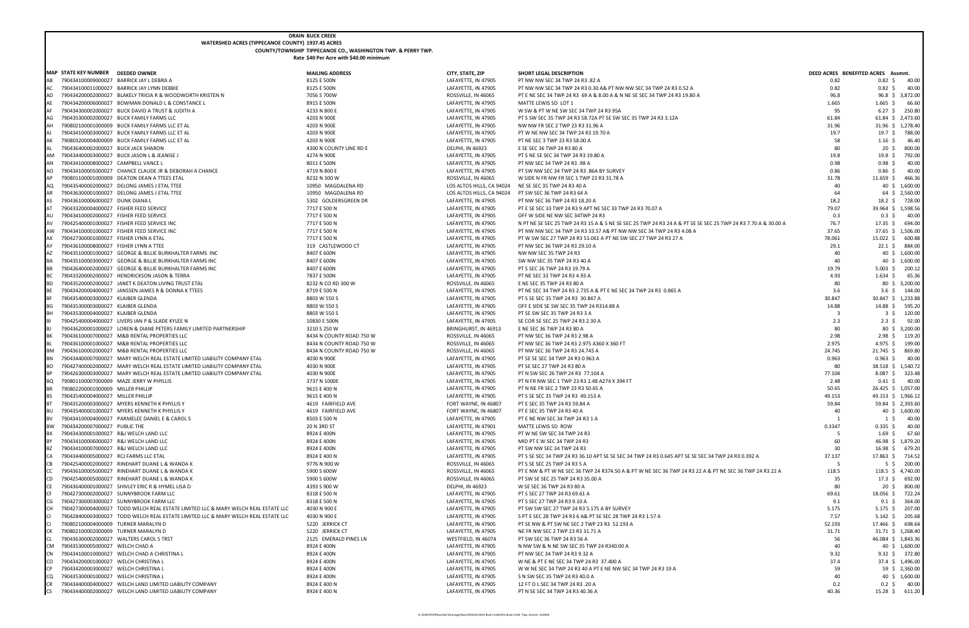## **DRAIN BUCK CREEK**

## **WATERSHED ACRES (TIPPECANOE COUNTY) 1937.45 ACRES COUNTY/TOWNSHIP TIPPECANOE CO., WASHINGTON TWP. & PERRY TWP. Rate** \$40 Per Acre with \$40.00 minimu

|           | <b>MAP STATE KEY NUMBER</b>                                                    | <b>DEEDED OWNER</b>                                                                                                                         |
|-----------|--------------------------------------------------------------------------------|---------------------------------------------------------------------------------------------------------------------------------------------|
| AB        |                                                                                | 790434100009000027 BARRICK JAY L DEBRA A                                                                                                    |
| AC        |                                                                                | 790434100011000027 BARRICK JAY LYNN DEBBIE                                                                                                  |
| AD<br>AE  | 790434200002000027<br>790434200006000027                                       | BLAKELY TRICIA R & WOODWORTH KRISTEN N<br>BOWMAN DONALD L & CONSTANCE L                                                                     |
| AF        | 790434300002000027                                                             | <b>BUCK DAVID A TRUST &amp; JUDITH A</b>                                                                                                    |
| AG        | 790435300002000027                                                             | <b>BUCK FAMILY FARMS LLC</b>                                                                                                                |
| AН        | 790802100001000009                                                             | BUCK FAMILY FARMS LLC ET AL                                                                                                                 |
| AJ        | 790434100003000027                                                             | BUCK FAMILY FARMS LLC ET AL                                                                                                                 |
| АΚ        | 790803200004000009                                                             | <b>BUCK FAMILY FARMS LLC ET AL</b>                                                                                                          |
| AL        | 790436400002000027                                                             | <b>BUCK JACK SHARON</b>                                                                                                                     |
| AM        | 790434400003000027<br>790434100008000027                                       | <b>BUCK JASON L &amp; JEANISE J</b>                                                                                                         |
| AN<br>AO  | 790434100005000027                                                             | <b>CAMPBELL VANCE L</b><br>CHANCE CLAUDE JR & DEBORAH A CHANCE                                                                              |
| АΡ        |                                                                                | 790801100001000009 DEATON DEAN A TTEES ETAL                                                                                                 |
| AQ        | 790435400002000027                                                             | DELONG JAMES J ETAL TTEE                                                                                                                    |
| AR        | 790436300001000027                                                             | DELONG JAMES J ETAL TTEE                                                                                                                    |
| AS        | 790436100006000027                                                             | <b>DUNK DIANA L</b>                                                                                                                         |
| AT        | 790433200004000027                                                             | <b>FISHER FEED SERVICE</b>                                                                                                                  |
| AU        | 790434100002000027 FISHER FEED SERVICE                                         | 790425400001000027 FISHER FEED SERVICE INC                                                                                                  |
| AV<br>AW  |                                                                                | 790434100001000027 FISHER FEED SERVICE INC                                                                                                  |
| АX        | 790427300001000027                                                             | FISHER LYNN A ETAL                                                                                                                          |
| AY        | 790436100008000027                                                             | FISHER LYNN A TTEE                                                                                                                          |
| AZ        | 790435100001000027                                                             | GEORGE & BILLIE BURKHALTER FARMS INC                                                                                                        |
| BA        | 790435100003000027                                                             | GEORGE & BILLIE BURKHALTER FARMS INC                                                                                                        |
| ВB        | 790426400002000027                                                             | <b>GEORGE &amp; BILLIE BURKHALTER FARMS INC</b>                                                                                             |
| вс        | 790433200002000027                                                             | <b>HENDRICKSON JASON &amp; TERRA</b>                                                                                                        |
| ВD<br>ВE  | 790435200002000027<br>790434200004000027                                       | JANET K DEATON LIVING TRUST ETAL<br>JANSSEN JAMES R & DONNA K TTEES                                                                         |
| ΒF        | 790435400003000027 KLAIBER GLENDA                                              |                                                                                                                                             |
| ΒG        | 790435300003000027                                                             | KLAIBER GLENDA                                                                                                                              |
| BН        | 790435300004000027                                                             | KLAIBER GLENDA                                                                                                                              |
| BI        | 790425400004000027                                                             | LIVERS IAN P & SLADE KYLEE N                                                                                                                |
| BJ        | 790436200001000027                                                             | LOREN & DIANE PETERS FAMILY LIMITED PARTNERSHIP                                                                                             |
| BК        | 790436100007000027<br>790436100001000027                                       | M&B RENTAL PROPERTIES LLC<br>M&B RENTAL PROPERTIES LLC                                                                                      |
| ВL<br>ВM  | 790436100002000027                                                             | M&B RENTAL PROPERTIES LLC                                                                                                                   |
| ΒN        | 790434400007000027                                                             | MARY WELCH REAL ESTATE LIMITED LIABILITY COMPANY ETAL                                                                                       |
| BО        | 790427400002000027                                                             | MARY WELCH REAL ESTATE LIMITED LIABILITY COMPANY ETAL                                                                                       |
| ВP        | 790426300003000027                                                             | MARY WELCH REAL ESTATE LIMITED LIABILITY COMPANY ETAL                                                                                       |
| BQ        | 790801100007000009                                                             | MAZE JERRY W PHYLLIS                                                                                                                        |
| BR        | 790802200001000009<br>790435400004000027                                       | <b>MILLER PHILLIP</b><br><b>MILLER PHILLIP</b>                                                                                              |
| BS<br>ВT  |                                                                                | 790435200003000027 MYERS KENNETH K PHYLLIS Y                                                                                                |
| BU        |                                                                                | 790435400001000027 MYERS KENNETH K PHYLLIS Y                                                                                                |
| ΒV        |                                                                                | 790434100004000027 PARMELEE DANIEL E & CAROL S                                                                                              |
| <b>BW</b> | 790434200007000027 PUBLIC THE                                                  |                                                                                                                                             |
| ВX        | 790434300001000027 R&J WELCH LAND LLC                                          |                                                                                                                                             |
| BY        | 790434100006000027 R&J WELCH LAND LLC                                          |                                                                                                                                             |
| ВZ<br>СA  | 790434100007000027 R&J WELCH LAND LLC<br>790434400005000027 RCJ FARMS LLC ETAL |                                                                                                                                             |
| CВ        |                                                                                | 790425400002000027 RINEHART DUANE L & WANDA K                                                                                               |
| СC        | 790436100005000027                                                             | RINEHART DUANE L & WANDA K                                                                                                                  |
| CD        | 790425400005000027                                                             | RINEHART DUANE L & WANDA K                                                                                                                  |
| СE        |                                                                                | 790436400001000027 SHIVLEY ERIC R & HYMEL LISA D                                                                                            |
| CF        |                                                                                | 790427300002000027 SUNNYBROOK FARM LLC                                                                                                      |
| CG        | 790427300003000027                                                             | SUNNYBROOK FARM LLC                                                                                                                         |
| СH<br>CI  | 790428400003000027                                                             | 790427300004000027 TODD WELCH REAL ESTATE LIMITED LLC & MARY WELCH REAL ESTAT<br>TODD WELCH REAL ESTATE LIMITED LLC & MARY WELCH REAL ESTAT |
| CJ        | 790802100004000009 TURNER MARALYN D                                            |                                                                                                                                             |
| СK        | 790802100002000009 TURNER MARALYN D                                            |                                                                                                                                             |
| CL        |                                                                                | 790436300002000027 WALTERS CAROL S TRST                                                                                                     |
| СM        | 790435300005000027 WELCH CHAD A                                                |                                                                                                                                             |
| CN        |                                                                                | 790434100010000027 WELCH CHAD A CHRISTINA L                                                                                                 |
| CO        | 790434200001000027 WELCH CHRISTINA L                                           |                                                                                                                                             |
| СP<br>CQ  | 790434200003000027 WELCH CHRISTINA L<br>790435300001000027 WELCH CHRISTINA L   |                                                                                                                                             |
| CR        |                                                                                | 790434400004000027 WELCH LAND LIMITED LIABILITY COMPANY                                                                                     |
| <b>CS</b> |                                                                                | 790434400002000027 WELCH LAND LIMITED LIABILITY COMPANY                                                                                     |
|           |                                                                                |                                                                                                                                             |

**MAP STATE KEY NUMBER DEEDED OWNER MAILING ADDRESS CITY, STATE, ZIP SHORT LEGAL DESCRIPTION DEED ACRES BENEFITED ACRES Assmnt.** AB 790434100009000027 BARRICK JAY L DEBRA A 8125 E 500N 28125 E 500N LAFAYETTE, IN 47905 PT NW NW SEC 34 TWP 24 R3 .82 A 0.82 \$ 0.82 \$ 40.00 AC 7905 BE 2008 MALL AND THE SOLUTION OF THE SECULE AND SECULE AT AN AVE SECULE IN 47905 PT NE SEC 34 TWO 24 RS 1000 PT E NE SEC 34 TWO 24 RS 1912 PT E NE SEC 34 TWP 24 R3 19.80 A 20.000 MALL AND SEC SA 1000 PT E NE SEC 34 PT E NE SEC 34 TWP 24 R3 69 A & 8.00 A & N NE SE SEC 34 TWP 24 R3 19.80 A AE 790434200006000027 BOWMAN DONALD L & CONSTANCE L SAND LATEL ESTANDALL BOON LAFAYETTE, IN 47905 MATTE LEWIS SD LOT 1 2005 2006 1.665 \$ 66.60 1.665 \$ 66.60 1.665 \$ 66.60 1.665 \$ 66.60 1.665 \$ 1.665 \$ 1.665 \$ 1.665 \$ 1.665 AF 233 N 800 E LAFAYETTE, IN 47905 W SW & PT W NE SW SEC 34 TWP 24 R3 95A AG 7905 4203 N 900E LAG 7000E LAG 7905 LAG 19905 AG 203 TWP 24 R3 58.72A PT SE SW SEC 35 TWP 24 R3 3.12A 61.84 61.84 61.84 61.84 61.84 61.84 61.84 61.84 61.84 61.84 61.84 61.84 61.84 61.84 61.84 61.84 61.84 61.84 61.84 61. AH 790802100001000009 BUCK FAMILY FARMS LLC ET AL 4203 N 900E LAFAYETTE, IN 47905 NW NW FR SEC 2 TWP 23 R3 31.96 A 31.96 31.96 \$ 1,278.40 AJ 790434100003000027 BUCK FAMILY FARMS LLC ET AL 4203 N 900E LAFAYETTE, IN 47905 PT W NE NW SEC 34 TWP 24 R3 19.70 A 19.7 19.7 \$ 788.00 AK 790803200004000009 BUCK FAMILY FARMS LLC ET AL 4203 N 900E 4203 N 900E A 4203 N 900E LAFAYETTE, IN 47905 PT NE SEC 3 TWP 23 R3 58.00 A 4 4 4 4 58 1.16 \$ 46.40 4 58 1.16 \$ 46.40 4 58 1.16 \$ 46.40 4 58 1.16 \$ 46.40 4 58 1 AL 790436400002000027 BUCK JACK SHARON 4300 N COUNTY LINE RD E DELPHI, IN 46923 E SE SEC 36 TWP 24 R3 80 A 80 20 \$ 800.00 AM 790434400003000027 BUCK JASON L & JEANISE J 4274 N 900E LAFAYETTE, IN 47905 PT S NE SE SEC 34 TWP 24 R3 19.80 A 19.8 19.8 \$ 792.00 AN 790434100008000027 CAMPBELL VANCE L SANCE L SANCE RESON RESON RESON LAFAYETTE, IN 47905 PT NW SEC 34 TWP 24 R3 .98 A 0.98 \$ 0.98 \$ 40.00 0.98 \$ 40.00 AO 7905000 E LAFAYETTE, IN 47905 PT SW NW SEC 34 TWP 24 R3 .86A BY SURVEY LAFAYETTE, IN 47905 8232 N 300 W **ROSSVILLE, IN 46065** W SIDE N FR NW FR SEC 1 TWP 23 R3 31.78 A 10950 MAGDALENA RD **LOS ALTOS HILLS, CA 94024** NE SE SEC 35 TWP 24 R3 40 A AR 790436300001000027 DELONG JAMES J ETAL TTEE 10950 MAGDALENA RD LOS ALTOS HILLS, CA 94024 PT SW SEC 36 TWP 24 R3 64 A 64 64 \$ 2,560.00 AS 790436100006000027 DUNK DIANA L 5302 GOLDERSGREEN DR LAFAYETTE, IN 47905 PT NW SEC 36 TWP 24 R3 18.20 A 18.2 18.2 \$ 728.00 AT 1717 E 500 N LAFAYETTE, IN 47905 PT E SE SEC 33 TWP 24 R3 9 APT NE SEC 33 TWP 24 R3 70.07 A 7717 E 500 N LAFAYETTE, IN 47905 PT E SE SEC 33 TWP 24 R3 70.07 A 79.976.5766 \$ 1,598.566 \$ 1,598.566 \$ 1,598.566 \$ 1,598.566 \$ AU 790434100002000027 FISHER FEED SERVICE 7717 E 500 N LAFAYETTE, IN 47905 OFF W SIDE NE NW SEC 34TWP 24 R3 0.3 0.3 \$ 40.00 7717 E 500 N **AFAYETTE, IN 47905** N PT NE SE SEC 25 TWP 24 R3 15 A & S NE SE SEC 25 TWP 24 R3 24 A & PT SE SE SEC 25 TW T717 E 500 N 24 R3 4.08 A LAFAYETTE, IN 47905 PT NW NW SEC 34 TWP 24 R3 33.57 A& PT NW NW SEC 34 TWP 24 R3 4.08 A 7717 E 500 N 24 R3 27 A LAFAYETTE, IN 47905 PT W SW SEC 27 TWP 24 R3 51.061 A PT NE SW SEC 27 TWP 24 R3 27 A AY 790436100008000027 FISHER LYNN A TTEE NATURE SALEMOOD CT SALEMOOD CT A SALEMOOD CT A SALEMOOD CT A SALEMOOD CT SALEMOOD CT SALEMOOD CT SALEMOOD CT SALEMOOD CT A 29.10 A 29.10 A 29.1 22.1 \$ 884.00 A 29.1 22.1 \$ 884.00 AZ 790435100001000027 GEORGE & BILLIE BURKHALTER FARMS INC 8407 E 600N LAFAYETTE, IN 47905 NW NW SEC 35 TWP 24 R3 40 40 \$ 1,600.00 BA 790435100003000027 GEORGE & BILLIE BURKHALTER FARMS INC \_\_\_\_\_\_\_\_\_\_\_\_\_\_\_\_\_\_\_\_\_\_ 8407 E 600N LAFAYETTE, IN 47905 SW NW SEC 35 TWP 24 R3 40 A 40 \$ 40 \$ 1,600.00 40 \$ 1,600.00 BB 790426400002000027 GEORGE & BILLIE BURKHALTER FARMS INC 8407 E 600N LAFAYETTE, IN 47905 PT S SEC 26 TWP 24 R3 19.79 A 19.79 5.003 \$ 200.12 BC 790433200002000027 HENDRICKSON JASON & TERRA 7837 E 500N LAFAYETTE, IN 47905 PT NE SEC 33 TWP 24 R3 4.93 A 4.93 1.634 \$ 65.36 BD 790435200002000027 JANET K DEATON LIVING TRUST ETAL  $8232$  N CO RD 300 W ROSSVILLE, IN 46065 E NE SEC 35 TWP 24 R3 80 A 80  $80$  80  $3$ ,200.00 8719 E 500 N 24 R3 0.865 A 2.735 A & PT E NE SEC 34 TWP 24 R3 2.735 A & PT E NE SEC 34 TWP 24 R3 0.865 A BF 790435400003000027 KLAIBER GLENDA 8803 W 550 S LAFAYETTE, IN 47905 PT S SE SEC 35 TWP 24 R3 30.847 A 30.847 30.847 \$ 1,233.88 BG 790435300003000027 KLAIBER GLENDA 880 S NOST SANG BOOS SANG SERIFTE, IN 47905 OFF E SIDE SE SW SEC 35 TWP 24 R314.88 A 24.88 \$ 595.20 14.88 \$ 595.20 BH 790435300004000027 KLAIBER GLENDA 8803 N SOBS SAUSSOUS SAUSSOUS SAUSSOUS DESCRIPTE, IN 47905 PT SE SW SEC 35 TWP 24 R3 3 A 3 \$ 120.00 BI 790425400004000027 LIVERS IAN P & SLADE KYLEE N LATAYETTE, IN 47905 SE COR SE SEC 25 TWP 24 R3 2.30 A 2.3 2.3 2.3 2.3 \$ 92.00 BJ 790436200001000027 LOREN & DIANE PETERS FAMILY LIMITED PARTNERSHIP 3210 S 250 W BRINGHURST, IN 46913 E NE SEC 36 TWP 24 R3 80 A 80 80 80 \$ 3,200.00 BK 790436100007000027 M&B RENTAL PROPERTIES LLC 8434 N COUNTY ROAD 750 W ROSSVILLE, IN 46065 PT NW SEC 36 TWP 24 R3 2.98 A 2.98 2.98 \$ 119.20 BL 790436100001000027 M&B RENTAL PROPERTIES LLC 2000 2.975 A344 N COUNTY ROAD 750 W ROSSVILLE, IN 46065 PT NW SEC 36 TWP 24 R3 2.975 A360 X 360 FT 2.975 2.975 2.975 2.975 2.975 2.975 2.975 2.975 2.975 2.975 2.975 2.975 2.9 BM 790436100002000027 M&B RENTAL PROPERTIES LLC 8434 N COUNTY ROAD 750 W ROSSVILLE, IN 46065 PT NW SEC 36 TWP 24 R3 24.745 A 21.745 \$ 21.745 \$ 869.80 BN 790434400007000027 MARY WELCH REAL ESTATE LIMITED LIABILITY COMPANY ETAL 4030 N 900E LAFAYETTE, IN 47905 PT SE SE SEC 34 TWP 24 R3 0.963 A 0.963 A 0.963 \$ 40.00 0.963 \$ 40.00 BO 790427400002000027 MARY WELCH REAL ESTATE LIMITED LIABILITY COMPANY ETAL 4030 N 900E LAFAYETTE, IN 47905 PT SE SEC 27 TWP 24 R3 80 A 80 38.518 \$ 1,540.72 BP 790426300003000027 MARY WELCH REAL ESTATE LIMITED LIABILITY COMPANY ETAL 4030 N 900E LAFAYETTE, IN 47905 PT N SW SEC 26 TWP 24 R3 77.104 A 77.104 77.104 77.104 77.104 77.104 8.087 \$ 323.48 BQ 790801100007000009 MAZE JERRY W PHYLLIS 3737 N 1000E LAFAYETTE, IN 47905 PT N FR NW SEC 1 TWP 23 R3 2.48 A274 X 394 FT 2.48 0.41 \$ 40.00 BR 790802200001000009 MILLER PHILLIP 9615 E 400 N 9615 E 400 N LAFAYETTE, IN 47905 PT N NE FR SEC 2 TWP 23 R3 50.65 A 50.65 26.425 \$ 1,057.00 BS 790435400004000027 MILLER PHILLIP 9615 E 400 N 9615 E 400 N LAFAYETTE, IN 47905 PT S SE SEC 35 TWP 24 R3 49.153 A 49.153 49.153 49.153 49.153 49.153 49.153 49.153 49.153 49.153 1,966.12 BT 790435200003000027 MYERS KENNETH K PHYLLIS Y 4619 FAIRFIELD AVE FORT WAYNE, IN 46807 PT E SEC 35 TWP 24 R3 59.84 A 59.84 59.84 \$ 2,393.60 BU 790435400001000027 MYERS KENNETH K PHYLLIS Y 4619 FAIRFIELD AVE FORT WAYNE, IN 46807 PT E SEC 35 TWP 24 R3 40 A 40 40 \$ 1,600.00 BV 790434100004000027 PARMELEE DANIEL E & CAROL S SOBRESSON BESON BESON LAFAYETTE, IN 47905 PT E NE NW SEC 34 TWP 24 R3 1 A 2 A 2000 BESON BESON DATE NE ANNE SEC 34 TWP 24 R3 1 A 2 A 2000 BESON DATE NE ANNE SEC 34 TWP 24 R BW 790434200007000027 PUBLIC THE 20 N 3RD ST LAFAYETTE, IN 47901 MATTE LEWIS SD ROW 0.3347 0.335 \$ 40.00 BX 790434300001000027 R&J WELCH LAND LLC 8924 E 400N LAFAYETTE, IN 47905 PT W NE SW SEC 34 TWP 24 R3 5 1.69 \$ 67.60 BY 790434100006000027 R&J WELCH LAND LLC 8924 E 400N LAFAYETTE, IN 47905 MID PT E W SEC 34 TWP 24 R3 60 46.98 \$ 1,879.20 BZ 790434100007000027 R&J WELCH LAND LLC 8924 E 400N LAFAYETTE, IN 47905 PT SW NW SEC 34 TWP 24 R3 30 16.98 \$ 679.20 EXAMPLE E 400 N LAFAYETTE, IN 47905 PT S SE SEC 34 TWP 24 R3 36.10 APT SE SE SEC 34 TWP 24 R3 0.645 APT SE SE SEC 34 TWP CB 790425400002000027 RINEHART DUANE L & WANDA K SANDA SANDA MANDA SANDA SANDA SANDA SANDA ROSSVILLE, IN 46065 PT S SE SEC 25 TWP 24 R3 5 A 5 5 \$ 200.00 \$ 5 \$ 200.00 5900 S 600W SALLE, IN 46065 PT E NW & PT W NE SEC 36 TWP 24 R374.50 A & PT W NE SEC 36 TWP 24 R3 22 A & PT NE CD 790425400005000027 RINEHART DUANE L & WANDA K NAMPA K SANDA SANDA SANDA SANDA SANDA ROSSVILLE, IN 46065 PT SW SE SEC 25 TWP 24 R3 35.00 A 35 27.3 \$ 692.00 \$ 600W A 35 27.3 \$ 692.00 CE 790436400001000027 SHIVLEY ERIC R & HYMEL LISA D 4393 S 900 W DELPHI, IN 46923 W SE SEC 36 TWP 24 R3 80 A 80 20 \$ 800.00 CF 790427300002000027 SUNNYBROOK FARM LLC 8318 E 500 N 28318 E 500 N 28318 E 500 N 2842 A 69.61 A 69.61 28.24 A 69.61 28.24 A 69.61 28.24 A 69.61 28.24 A 69.61 28.24 A 69.61 28.24 A 69.61 A 69.61 28.24 A 69.61 28.24 A 69.6 CG 790427300003000027 SUNNYBROOK FARM LLC 8 . \$318 E 500 N 28318 E 500 N 28318 E 500 N 28 A 9.10 A 9.1 A 5 364.00 A 9.1 \$ 364.00 A 9.1 \$ 364.00 A 9.1 \$ 364.00 A 9.1 \$ 364.00 A 9.1 \$ 364.00 A 9.1 \$ 364.00 A 9.1 \$ 364.00 A 9 CH 790427300004000027 TODD WELCH REAL ESTATE LIMITED LLC & MARY WELCH REAL ESTATE LLC 4030 N 900 E LAFAYETTE, IN 47905 PT SW SW SEC 27 TWP 24 R3 5.175 A BY SURVEY 5.175 5.175 \$ 207.00 CI 790428400003000027 TODD WELCH REAL ESTATE LIMITED LLC & MARY WELCH REAL ESTATE LLC 4030 N 900 E LAFAYETTE, IN 47905 S PT E SEC 28 TWP 24 R3 6 A& PT SE SEC 28 TWP 24 R3 1.57 A 7.57 5.142 \$ 205.68 EXAMPLE SERICK CT LATERT CONTROLLER MARALITY AND THE SERVICE OF SERVICE SECTION OF SEC 2 TWP 23 R3 52.193 A CK 790802100002000009 TURNER MARALYN D 5220 JERRICK CT LAFAYETTE, IN 47905 NE FR NW SEC 2 TWP 23 R3 31.71 A 31.71 31.71 \$ 1,268.40 CL 790436300002000027 WALTERS CAROL S TRST NESTRALLD PINES LN 2125 EMERALD PINES LN WESTFIELD, IN 46074 PT SW SEC 36 TWP 24 R3 56 A 56 A 56 46.084 \$ 1,843.36 A 56 46.084 \$ 1,843.36 EXAM RESON CHADREY CHARD A BUSINESS OF THE SAME A SECURITY CHANGED A 49905 N NW SW & N NE SW SEC 35 TWP 24 R340.00 A CN 790434100010000027 WELCH CHAD A CHRISTINA L CHARISTINA L BOAN REAGAN DAS A SALE 400N LAFAYETTE, IN 47905 PT NW SEC 34 TWP 24 R3 9.32 A 9.32 A 9.32 \$ 372.80 CO 790434200001000027 WELCH CHRISTINA L 8924 E 400N LAFAYETTE, IN 47905 W NE & PT E NE SEC 34 TWP 24 R3 37.400 A 37.4 37.4 \$ 1,496.00 EXERPTING THE APPROX LAFAYETTE, IN 47905 WW NE SEC 34 TWP 24 R3 40 A PT E NE NW SEC 34 TWP 24 R3 19 A CQ 790435300001000027 WELCH CHRISTINA L 8924 E 400N LAFAYETTE, IN 47905 S N SW SEC 35 TWP 24 R3 40.0 A 40 40 \$ 1,600.00 CR 790434400004000027 WELCH LAND LIMITED LIABILITY COMPANY 8924 E 400 N LAFAYETTE, IN 47905 12 FT O L SEC 34 TWP 24 R3 .20 A 0.2 0.2 \$ 40.00 CS 790434400002000027 WELCH LAND LIMITED LIABILITY COMPANY 8924 E 400 N LAFAYETTE, IN 47905 PT N SE SEC 34 TWP 24 R3 40.36 A 40.36 15.28 \$ 611.20

|                           |        | DEED ACRES BENEFITED ACRES |     | Assmnt.  |
|---------------------------|--------|----------------------------|-----|----------|
|                           | 0.82   | 0.82                       | \$  | 40.00    |
|                           | 0.82   | 0.82                       | \$  | 40.00    |
|                           | 96.8   | 96.8                       | \$  | 3,872.00 |
|                           | 1.665  | 1.665                      | \$  | 66.60    |
|                           | 95     | 6.27                       | \$  | 250.80   |
|                           | 61.84  | 61.84                      | \$  | 2,473.60 |
|                           | 31.96  | 31.96                      | \$  | 1,278.40 |
|                           | 19.7   | 19.7                       | \$  | 788.00   |
|                           | 58     | 1.16                       | \$  | 46.40    |
|                           | 80     | 20                         | \$  | 800.00   |
|                           | 19.8   | 19.8                       | \$  | 792.00   |
|                           | 0.98   | 0.98                       | \$  | 40.00    |
|                           | 0.86   | 0.86                       | \$  | 40.00    |
|                           | 31.78  | 11.659                     | \$  | 466.36   |
|                           | 40     | 40                         | \$  | 1,600.00 |
|                           | 64     | 64                         | \$  | 2,560.00 |
|                           | 18.2   | 18.2                       | \$  | 728.00   |
|                           | 79.07  | 39.964                     | \$  | 1,598.56 |
|                           | 0.3    | 0.3                        | \$  | 40.00    |
| /P 24 R3 7.70 A & 30.00 A | 76.7   | 17.35                      | \$  | 694.00   |
|                           | 37.65  | 37.65                      | \$  | 1,506.00 |
|                           | 78.061 | 15.022                     | \$  | 600.88   |
|                           | 29.1   | 22.1                       | \$  | 884.00   |
|                           | 40     | 40                         | \$  | 1,600.00 |
|                           | 40     | 40                         | \$  | 1,600.00 |
|                           | 19.79  | 5.003                      | \$  | 200.12   |
|                           | 4.93   | 1.634                      | \$  | 65.36    |
|                           | 80     | 80                         | \$  | 3,200.00 |
|                           | 3.6    | 3.6                        | \$  | 144.00   |
|                           | 30.847 | 30.847                     | \$  | 1,233.88 |
|                           | 14.88  | 14.88                      | \$  | 595.20   |
|                           | 3      | 3                          | \$  | 120.00   |
|                           | 2.3    | 2.3                        | \$  | 92.00    |
|                           | 80     | 80                         | \$  | 3,200.00 |
|                           | 2.98   | 2.98                       | \$  | 119.20   |
|                           | 2.975  | 4.975                      | \$  | 199.00   |
|                           | 24.745 | 21.745                     | \$  | 869.80   |
|                           | 0.963  | 0.963                      | \$  | 40.00    |
|                           | 80     | 38.518                     | \$  | 1,540.72 |
|                           | 77.104 | 8.087                      | \$  | 323.48   |
|                           | 2.48   | 0.41                       | \$  | 40.00    |
|                           | 50.65  | 26.425                     | \$  | 1,057.00 |
|                           | 49.153 | 49.153                     | \$  | 1,966.12 |
|                           | 59.84  | 59.84                      | \$  | 2,393.60 |
|                           | 40     | 40                         | \$  | 1,600.00 |
|                           | 1      |                            | 1\$ | 40.00    |
|                           | 0.3347 | 0.335                      | \$  | 40.00    |
|                           | 5      | 1.69                       | \$  | 67.60    |
|                           | 60     | 46.98                      | \$  | 1,879.20 |
|                           | 30     | 16.98                      | \$  | 679.20   |
| 24 R3 0.392 A             | 37.137 | 17.863                     | \$  | 714.52   |
|                           | 5      | 5                          | \$  | 200.00   |
| SEC 36 TWP 24 R3 22 A     | 118.5  | 118.5                      | \$  | 4,740.00 |
|                           | 35     | 17.3                       | \$  | 692.00   |
|                           | 80     | 20                         | \$  | 800.00   |
|                           | 69.61  | 18.056                     | \$  | 722.24   |
|                           | 9.1    | 9.1                        | \$  | 364.00   |
|                           | 5.175  | 5.175                      | \$  | 207.00   |
|                           | 7.57   | 5.142                      | \$  | 205.68   |
|                           | 52.193 | 17.466                     | \$  | 698.64   |
|                           | 31.71  | 31.71                      | \$  | 1,268.40 |
|                           | 56     | 46.084                     | \$  | 1,843.36 |
|                           | 40     | 40                         | \$  | 1,600.00 |
|                           | 9.32   | 9.32                       | \$  | 372.80   |
|                           | 37.4   | 37.4                       | \$  | 1,496.00 |
|                           | 59     | 59                         | \$  | 2,360.00 |
|                           | 40     | 40 \$                      |     | 1,600.00 |
|                           | 0.2    | 0.2                        | \$  | 40.00    |
|                           | 40.36  | 15.28                      | \$  | 611.20   |
|                           |        |                            |     |          |